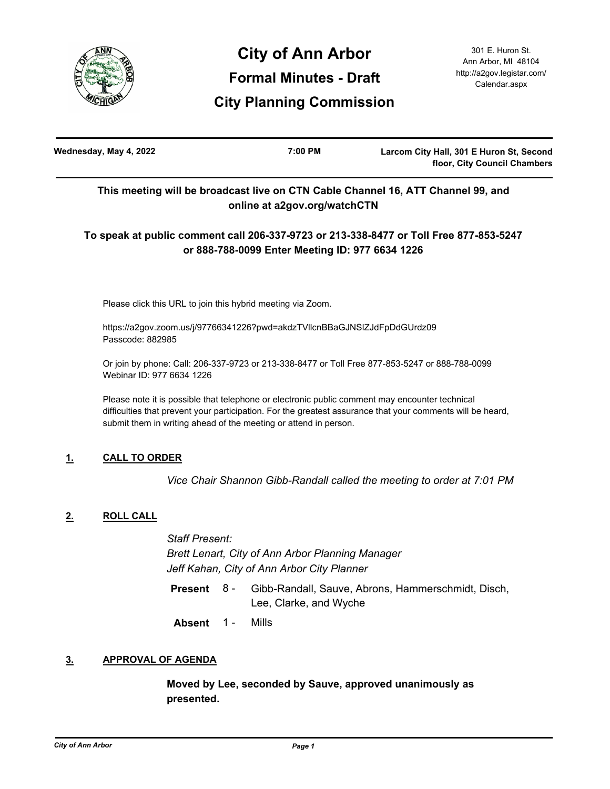

| Wednesday, May 4, 2022 | 7:00 PM | Larcom City Hall, 301 E Huron St, Second |
|------------------------|---------|------------------------------------------|
|                        |         | floor, City Council Chambers             |

# **This meeting will be broadcast live on CTN Cable Channel 16, ATT Channel 99, and online at a2gov.org/watchCTN**

# **To speak at public comment call 206-337-9723 or 213-338-8477 or Toll Free 877-853-5247 or 888-788-0099 Enter Meeting ID: 977 6634 1226**

Please click this URL to join this hybrid meeting via Zoom.

https://a2gov.zoom.us/j/97766341226?pwd=akdzTVllcnBBaGJNSlZJdFpDdGUrdz09 Passcode: 882985

Or join by phone: Call: 206-337-9723 or 213-338-8477 or Toll Free 877-853-5247 or 888-788-0099 Webinar ID: 977 6634 1226

Please note it is possible that telephone or electronic public comment may encounter technical difficulties that prevent your participation. For the greatest assurance that your comments will be heard, submit them in writing ahead of the meeting or attend in person.

## **1. CALL TO ORDER**

*Vice Chair Shannon Gibb-Randall called the meeting to order at 7:01 PM*

## **2. ROLL CALL**

*Staff Present: Brett Lenart, City of Ann Arbor Planning Manager Jeff Kahan, City of Ann Arbor City Planner*

- Gibb-Randall, Sauve, Abrons, Hammerschmidt, Disch, Lee, Clarke, and Wyche **Present** 8 -
- **Absent** 1 Mills

## **3. APPROVAL OF AGENDA**

**Moved by Lee, seconded by Sauve, approved unanimously as presented.**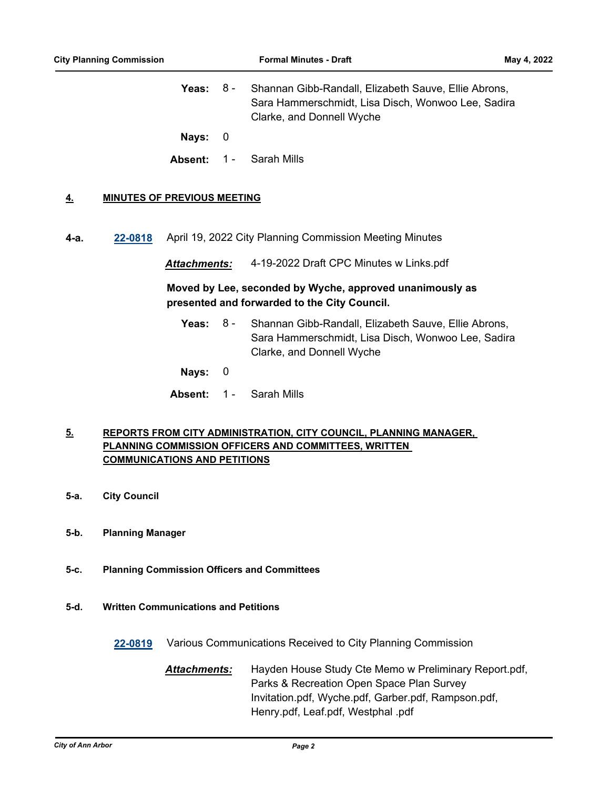- **Yeas:** 8 Shannan Gibb-Randall, Elizabeth Sauve, Ellie Abrons, Sara Hammerschmidt, Lisa Disch, Wonwoo Lee, Sadira Clarke, and Donnell Wyche 8 -
- **Nays:** 0
- **Absent:** 1 Sarah Mills

#### **4. MINUTES OF PREVIOUS MEETING**

**4-a. [22-0818](http://a2gov.legistar.com/gateway.aspx?M=L&ID=29994)** April 19, 2022 City Planning Commission Meeting Minutes

*Attachments:* 4-19-2022 Draft CPC Minutes w Links.pdf

## **Moved by Lee, seconded by Wyche, approved unanimously as presented and forwarded to the City Council.**

Yeas: 8 - Shannan Gibb-Randall, Elizabeth Sauve, Ellie Abrons, Sara Hammerschmidt, Lisa Disch, Wonwoo Lee, Sadira Clarke, and Donnell Wyche 8 -

**Nays:** 0

**Absent:** 1 - Sarah Mills

## **5. REPORTS FROM CITY ADMINISTRATION, CITY COUNCIL, PLANNING MANAGER, PLANNING COMMISSION OFFICERS AND COMMITTEES, WRITTEN COMMUNICATIONS AND PETITIONS**

- **5-a. City Council**
- **5-b. Planning Manager**
- **5-c. Planning Commission Officers and Committees**
- **5-d. Written Communications and Petitions**
	- **[22-0819](http://a2gov.legistar.com/gateway.aspx?M=L&ID=29995)** Various Communications Received to City Planning Commission
		- *Attachments:* Hayden House Study Cte Memo w Preliminary Report.pdf, Parks & Recreation Open Space Plan Survey Invitation.pdf, Wyche.pdf, Garber.pdf, Rampson.pdf, Henry.pdf, Leaf.pdf, Westphal .pdf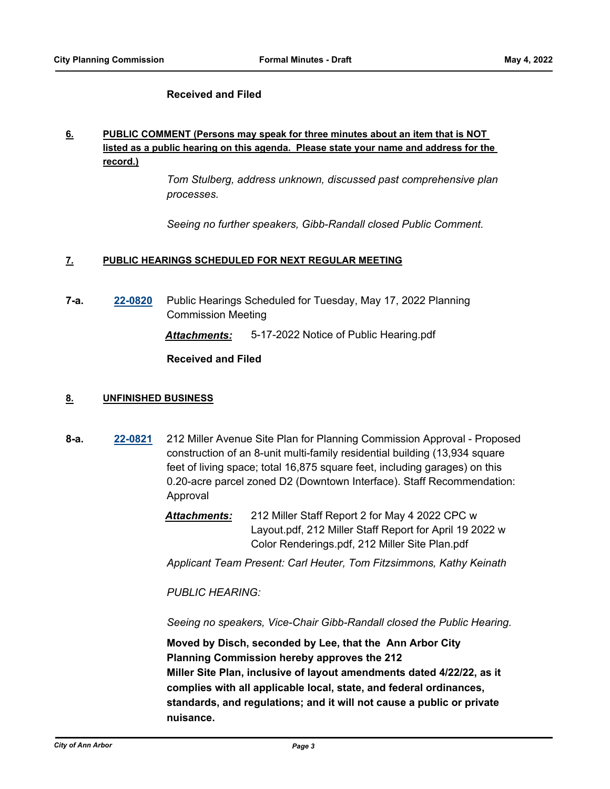### **Received and Filed**

# **6. PUBLIC COMMENT (Persons may speak for three minutes about an item that is NOT listed as a public hearing on this agenda. Please state your name and address for the record.)**

*Tom Stulberg, address unknown, discussed past comprehensive plan processes.*

*Seeing no further speakers, Gibb-Randall closed Public Comment.*

### **7. PUBLIC HEARINGS SCHEDULED FOR NEXT REGULAR MEETING**

**7-a. [22-0820](http://a2gov.legistar.com/gateway.aspx?M=L&ID=29996)** Public Hearings Scheduled for Tuesday, May 17, 2022 Planning Commission Meeting

*Attachments:* 5-17-2022 Notice of Public Hearing.pdf

### **Received and Filed**

### **8. UNFINISHED BUSINESS**

**8-a. [22-0821](http://a2gov.legistar.com/gateway.aspx?M=L&ID=29997)** 212 Miller Avenue Site Plan for Planning Commission Approval - Proposed construction of an 8-unit multi-family residential building (13,934 square feet of living space; total 16,875 square feet, including garages) on this 0.20-acre parcel zoned D2 (Downtown Interface). Staff Recommendation: Approval

> *Attachments:* 212 Miller Staff Report 2 for May 4 2022 CPC w Layout.pdf, 212 Miller Staff Report for April 19 2022 w Color Renderings.pdf, 212 Miller Site Plan.pdf

> *Applicant Team Present: Carl Heuter, Tom Fitzsimmons, Kathy Keinath*

*PUBLIC HEARING:*

*Seeing no speakers, Vice-Chair Gibb-Randall closed the Public Hearing.*

**Moved by Disch, seconded by Lee, that the Ann Arbor City Planning Commission hereby approves the 212 Miller Site Plan, inclusive of layout amendments dated 4/22/22, as it complies with all applicable local, state, and federal ordinances, standards, and regulations; and it will not cause a public or private nuisance.**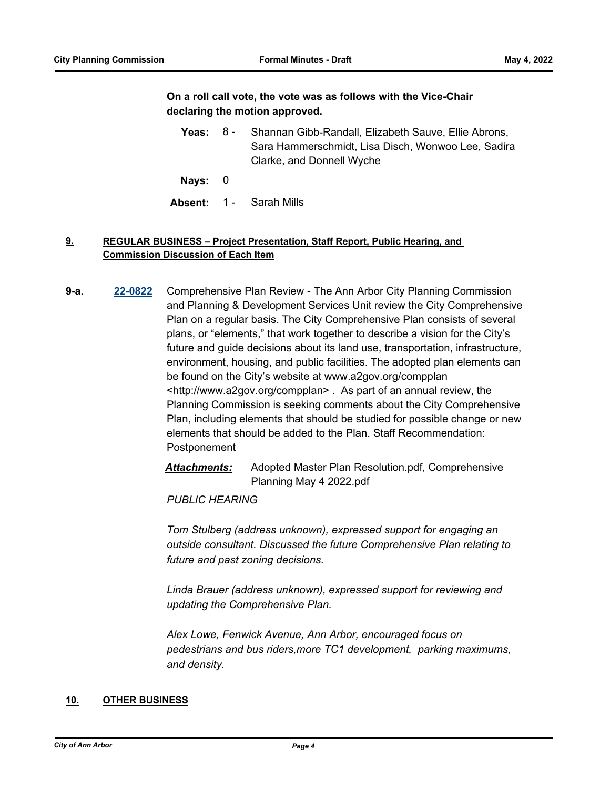# **On a roll call vote, the vote was as follows with the Vice-Chair declaring the motion approved.**

**Yeas:** Shannan Gibb-Randall, Elizabeth Sauve, Ellie Abrons, Sara Hammerschmidt, Lisa Disch, Wonwoo Lee, Sadira Clarke, and Donnell Wyche Yeas:  $8 -$ 

**Nays:** 0

**Absent:** 1 - Sarah Mills

# **9. REGULAR BUSINESS – Project Presentation, Staff Report, Public Hearing, and Commission Discussion of Each Item**

**9-a. [22-0822](http://a2gov.legistar.com/gateway.aspx?M=L&ID=29998)** Comprehensive Plan Review - The Ann Arbor City Planning Commission and Planning & Development Services Unit review the City Comprehensive Plan on a regular basis. The City Comprehensive Plan consists of several plans, or "elements," that work together to describe a vision for the City's future and guide decisions about its land use, transportation, infrastructure, environment, housing, and public facilities. The adopted plan elements can be found on the City's website at www.a2gov.org/compplan <http://www.a2gov.org/compplan> . As part of an annual review, the Planning Commission is seeking comments about the City Comprehensive Plan, including elements that should be studied for possible change or new elements that should be added to the Plan. Staff Recommendation: Postponement

> *Attachments:* Adopted Master Plan Resolution.pdf, Comprehensive Planning May 4 2022.pdf

*PUBLIC HEARING*

*Tom Stulberg (address unknown), expressed support for engaging an outside consultant. Discussed the future Comprehensive Plan relating to future and past zoning decisions.* 

*Linda Brauer (address unknown), expressed support for reviewing and updating the Comprehensive Plan.* 

*Alex Lowe, Fenwick Avenue, Ann Arbor, encouraged focus on pedestrians and bus riders,more TC1 development, parking maximums, and density.*

### **10. OTHER BUSINESS**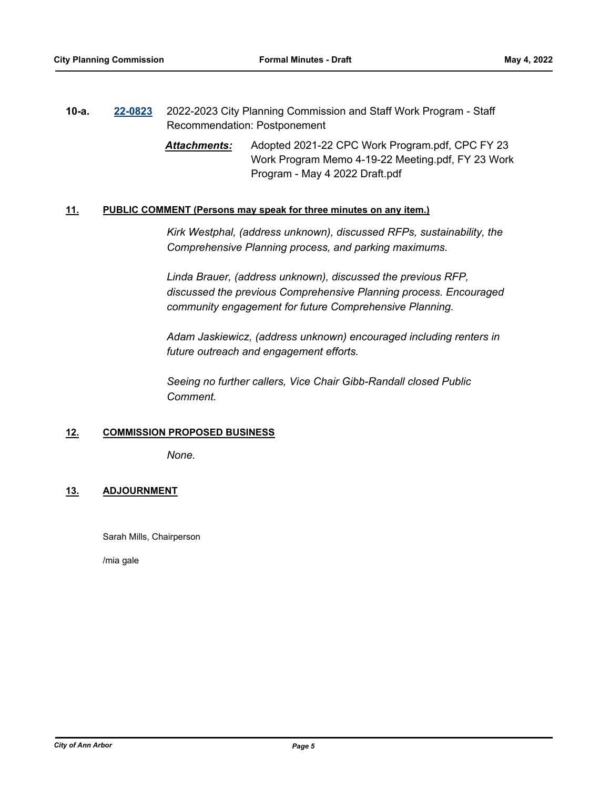# **10-a. [22-0823](http://a2gov.legistar.com/gateway.aspx?M=L&ID=29999)** 2022-2023 City Planning Commission and Staff Work Program - Staff Recommendation: Postponement

*Attachments:* Adopted 2021-22 CPC Work Program.pdf, CPC FY 23 Work Program Memo 4-19-22 Meeting.pdf, FY 23 Work Program - May 4 2022 Draft.pdf

#### **11. PUBLIC COMMENT (Persons may speak for three minutes on any item.)**

*Kirk Westphal, (address unknown), discussed RFPs, sustainability, the Comprehensive Planning process, and parking maximums.* 

*Linda Brauer, (address unknown), discussed the previous RFP, discussed the previous Comprehensive Planning process. Encouraged community engagement for future Comprehensive Planning.* 

*Adam Jaskiewicz, (address unknown) encouraged including renters in future outreach and engagement efforts.* 

*Seeing no further callers, Vice Chair Gibb-Randall closed Public Comment.*

#### **12. COMMISSION PROPOSED BUSINESS**

*None.*

#### **13. ADJOURNMENT**

Sarah Mills, Chairperson

/mia gale